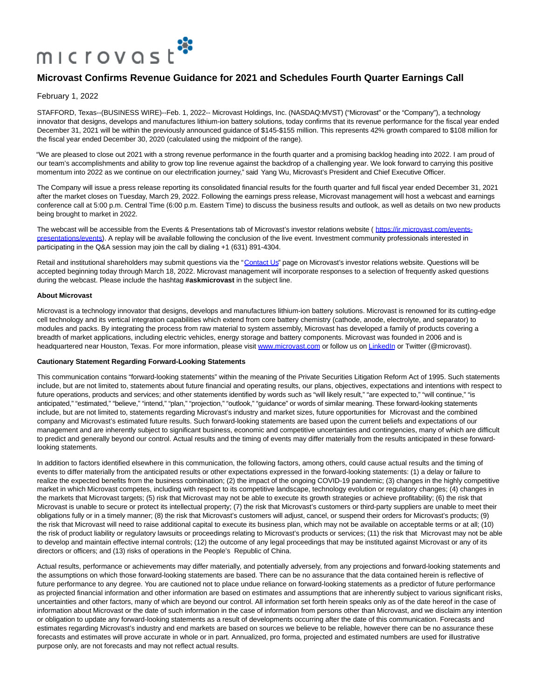

## **Microvast Confirms Revenue Guidance for 2021 and Schedules Fourth Quarter Earnings Call**

February 1, 2022

STAFFORD, Texas--(BUSINESS WIRE)--Feb. 1, 2022-- Microvast Holdings, Inc. (NASDAQ:MVST) ("Microvast" or the "Company"), a technology innovator that designs, develops and manufactures lithium-ion battery solutions, today confirms that its revenue performance for the fiscal year ended December 31, 2021 will be within the previously announced guidance of \$145-\$155 million. This represents 42% growth compared to \$108 million for the fiscal year ended December 30, 2020 (calculated using the midpoint of the range).

"We are pleased to close out 2021 with a strong revenue performance in the fourth quarter and a promising backlog heading into 2022. I am proud of our team's accomplishments and ability to grow top line revenue against the backdrop of a challenging year. We look forward to carrying this positive momentum into 2022 as we continue on our electrification journey," said Yang Wu, Microvast's President and Chief Executive Officer.

The Company will issue a press release reporting its consolidated financial results for the fourth quarter and full fiscal year ended December 31, 2021 after the market closes on Tuesday, March 29, 2022. Following the earnings press release, Microvast management will host a webcast and earnings conference call at 5:00 p.m. Central Time (6:00 p.m. Eastern Time) to discuss the business results and outlook, as well as details on two new products being brought to market in 2022.

The webcast will be accessible from the Events & Presentations tab of Microvast's investor relations website ([https://ir.microvast.com/events](https://cts.businesswire.com/ct/CT?id=smartlink&url=https%3A%2F%2Fir.microvast.com%2Fevents-presentations%2Fevents&esheet=52571769&newsitemid=20220201005407&lan=en-US&anchor=https%3A%2F%2Fir.microvast.com%2Fevents-presentations%2Fevents&index=1&md5=4ffe50e02c9d0c0f47f4617033eedf30)presentations/events). A replay will be available following the conclusion of the live event. Investment community professionals interested in participating in the Q&A session may join the call by dialing +1 (631) 891-4304.

Retail and institutional shareholders may submit questions via the ["Contact Us"](https://cts.businesswire.com/ct/CT?id=smartlink&url=https%3A%2F%2Fir.microvast.com%2Fir-resources%2Fcontact-ir&esheet=52571769&newsitemid=20220201005407&lan=en-US&anchor=Contact+Us&index=2&md5=ba50196cf5f08e410b434a299f614b56) page on Microvast's investor relations website. Questions will be accepted beginning today through March 18, 2022. Microvast management will incorporate responses to a selection of frequently asked questions during the webcast. Please include the hashtag **#askmicrovast** in the subject line.

## **About Microvast**

Microvast is a technology innovator that designs, develops and manufactures lithium-ion battery solutions. Microvast is renowned for its cutting-edge cell technology and its vertical integration capabilities which extend from core battery chemistry (cathode, anode, electrolyte, and separator) to modules and packs. By integrating the process from raw material to system assembly, Microvast has developed a family of products covering a breadth of market applications, including electric vehicles, energy storage and battery components. Microvast was founded in 2006 and is headquartered near Houston, Texas. For more information, please visit [www.microvast.com o](https://cts.businesswire.com/ct/CT?id=smartlink&url=http%3A%2F%2Fwww.microvast.com&esheet=52571769&newsitemid=20220201005407&lan=en-US&anchor=www.microvast.com&index=3&md5=c5ab514dd6ccd5236e7c16412362e1ce)r follow us o[n LinkedIn o](https://cts.businesswire.com/ct/CT?id=smartlink&url=https%3A%2F%2Fwww.linkedin.com%2Fcompany%2Fmicrovast-inc-&esheet=52571769&newsitemid=20220201005407&lan=en-US&anchor=LinkedIn&index=4&md5=5e5b43e85eed4b9afc3c9d4b52d70d2b)r Twitter (@microvast).

## **Cautionary Statement Regarding Forward-Looking Statements**

This communication contains "forward-looking statements" within the meaning of the Private Securities Litigation Reform Act of 1995. Such statements include, but are not limited to, statements about future financial and operating results, our plans, objectives, expectations and intentions with respect to future operations, products and services; and other statements identified by words such as "will likely result," "are expected to," "will continue," "is anticipated," "estimated," "believe," "intend," "plan," "projection," "outlook," "guidance" or words of similar meaning. These forward-looking statements include, but are not limited to, statements regarding Microvast's industry and market sizes, future opportunities for Microvast and the combined company and Microvast's estimated future results. Such forward-looking statements are based upon the current beliefs and expectations of our management and are inherently subject to significant business, economic and competitive uncertainties and contingencies, many of which are difficult to predict and generally beyond our control. Actual results and the timing of events may differ materially from the results anticipated in these forwardlooking statements.

In addition to factors identified elsewhere in this communication, the following factors, among others, could cause actual results and the timing of events to differ materially from the anticipated results or other expectations expressed in the forward-looking statements: (1) a delay or failure to realize the expected benefits from the business combination; (2) the impact of the ongoing COVID-19 pandemic; (3) changes in the highly competitive market in which Microvast competes, including with respect to its competitive landscape, technology evolution or regulatory changes; (4) changes in the markets that Microvast targets; (5) risk that Microvast may not be able to execute its growth strategies or achieve profitability; (6) the risk that Microvast is unable to secure or protect its intellectual property; (7) the risk that Microvast's customers or third-party suppliers are unable to meet their obligations fully or in a timely manner; (8) the risk that Microvast's customers will adjust, cancel, or suspend their orders for Microvast's products; (9) the risk that Microvast will need to raise additional capital to execute its business plan, which may not be available on acceptable terms or at all; (10) the risk of product liability or regulatory lawsuits or proceedings relating to Microvast's products or services; (11) the risk that Microvast may not be able to develop and maintain effective internal controls; (12) the outcome of any legal proceedings that may be instituted against Microvast or any of its directors or officers; and (13) risks of operations in the People's Republic of China.

Actual results, performance or achievements may differ materially, and potentially adversely, from any projections and forward-looking statements and the assumptions on which those forward-looking statements are based. There can be no assurance that the data contained herein is reflective of future performance to any degree. You are cautioned not to place undue reliance on forward-looking statements as a predictor of future performance as projected financial information and other information are based on estimates and assumptions that are inherently subject to various significant risks, uncertainties and other factors, many of which are beyond our control. All information set forth herein speaks only as of the date hereof in the case of information about Microvast or the date of such information in the case of information from persons other than Microvast, and we disclaim any intention or obligation to update any forward-looking statements as a result of developments occurring after the date of this communication. Forecasts and estimates regarding Microvast's industry and end markets are based on sources we believe to be reliable, however there can be no assurance these forecasts and estimates will prove accurate in whole or in part. Annualized, pro forma, projected and estimated numbers are used for illustrative purpose only, are not forecasts and may not reflect actual results.